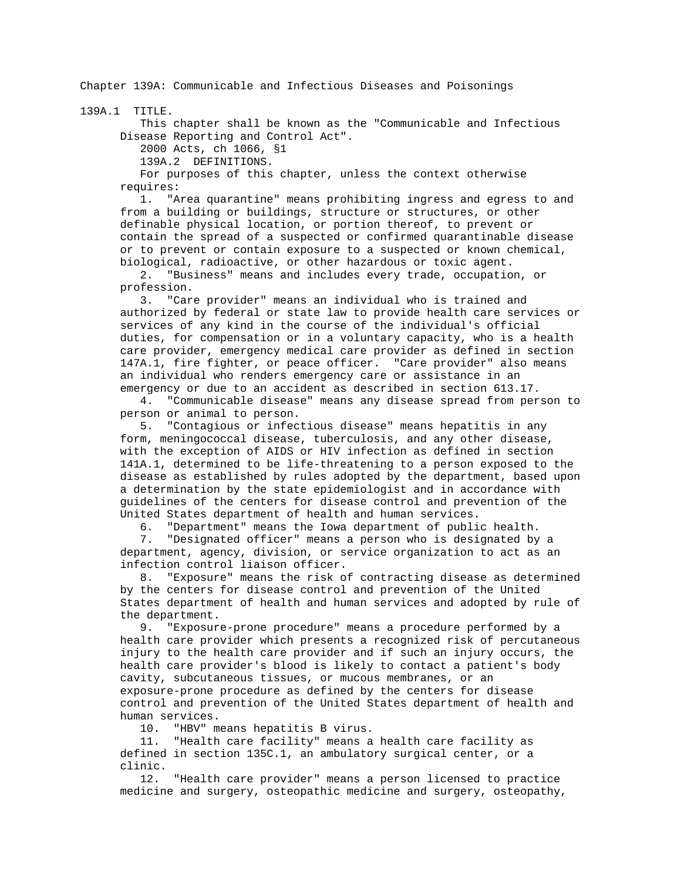Chapter 139A: Communicable and Infectious Diseases and Poisonings

139A.1 TITLE.

 This chapter shall be known as the "Communicable and Infectious Disease Reporting and Control Act".

2000 Acts, ch 1066, §1

139A.2 DEFINITIONS.

 For purposes of this chapter, unless the context otherwise requires:

 1. "Area quarantine" means prohibiting ingress and egress to and from a building or buildings, structure or structures, or other definable physical location, or portion thereof, to prevent or contain the spread of a suspected or confirmed quarantinable disease or to prevent or contain exposure to a suspected or known chemical, biological, radioactive, or other hazardous or toxic agent.

 2. "Business" means and includes every trade, occupation, or profession.

 3. "Care provider" means an individual who is trained and authorized by federal or state law to provide health care services or services of any kind in the course of the individual's official duties, for compensation or in a voluntary capacity, who is a health care provider, emergency medical care provider as defined in section 147A.1, fire fighter, or peace officer. "Care provider" also means an individual who renders emergency care or assistance in an emergency or due to an accident as described in section 613.17.

 4. "Communicable disease" means any disease spread from person to person or animal to person.

 5. "Contagious or infectious disease" means hepatitis in any form, meningococcal disease, tuberculosis, and any other disease, with the exception of AIDS or HIV infection as defined in section 141A.1, determined to be life-threatening to a person exposed to the disease as established by rules adopted by the department, based upon a determination by the state epidemiologist and in accordance with guidelines of the centers for disease control and prevention of the United States department of health and human services.

6. "Department" means the Iowa department of public health.

 7. "Designated officer" means a person who is designated by a department, agency, division, or service organization to act as an infection control liaison officer.

 8. "Exposure" means the risk of contracting disease as determined by the centers for disease control and prevention of the United States department of health and human services and adopted by rule of the department.

 9. "Exposure-prone procedure" means a procedure performed by a health care provider which presents a recognized risk of percutaneous injury to the health care provider and if such an injury occurs, the health care provider's blood is likely to contact a patient's body cavity, subcutaneous tissues, or mucous membranes, or an exposure-prone procedure as defined by the centers for disease control and prevention of the United States department of health and human services.

10. "HBV" means hepatitis B virus.

 11. "Health care facility" means a health care facility as defined in section 135C.1, an ambulatory surgical center, or a clinic.

 12. "Health care provider" means a person licensed to practice medicine and surgery, osteopathic medicine and surgery, osteopathy,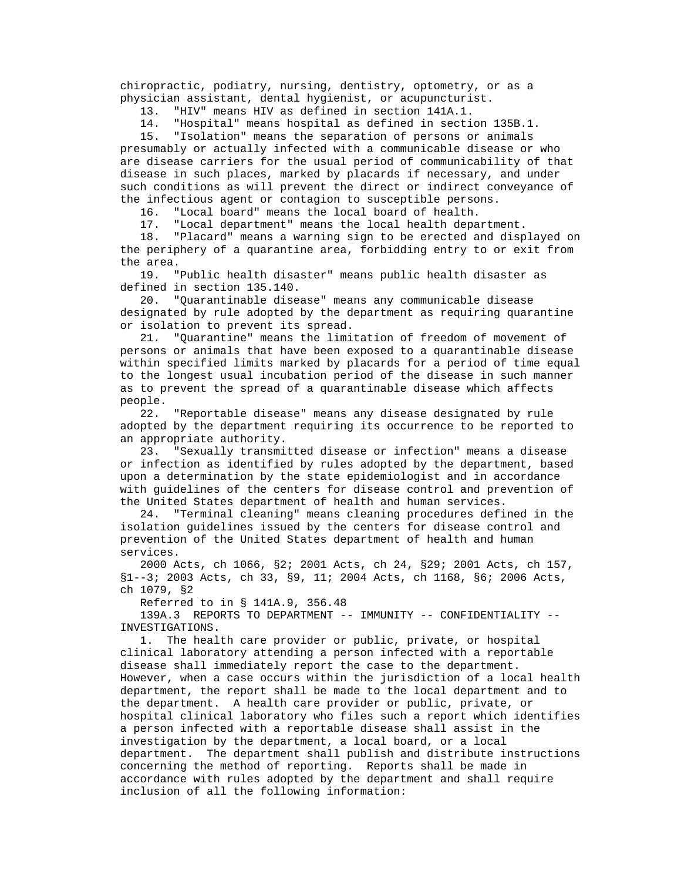chiropractic, podiatry, nursing, dentistry, optometry, or as a physician assistant, dental hygienist, or acupuncturist.

13. "HIV" means HIV as defined in section 141A.1.

14. "Hospital" means hospital as defined in section 135B.1.

 15. "Isolation" means the separation of persons or animals presumably or actually infected with a communicable disease or who are disease carriers for the usual period of communicability of that disease in such places, marked by placards if necessary, and under such conditions as will prevent the direct or indirect conveyance of the infectious agent or contagion to susceptible persons.

16. "Local board" means the local board of health.

17. "Local department" means the local health department.

 18. "Placard" means a warning sign to be erected and displayed on the periphery of a quarantine area, forbidding entry to or exit from the area.

 19. "Public health disaster" means public health disaster as defined in section 135.140.

 20. "Quarantinable disease" means any communicable disease designated by rule adopted by the department as requiring quarantine or isolation to prevent its spread.

 21. "Quarantine" means the limitation of freedom of movement of persons or animals that have been exposed to a quarantinable disease within specified limits marked by placards for a period of time equal to the longest usual incubation period of the disease in such manner as to prevent the spread of a quarantinable disease which affects people.

 22. "Reportable disease" means any disease designated by rule adopted by the department requiring its occurrence to be reported to an appropriate authority.

 23. "Sexually transmitted disease or infection" means a disease or infection as identified by rules adopted by the department, based upon a determination by the state epidemiologist and in accordance with guidelines of the centers for disease control and prevention of the United States department of health and human services.

 24. "Terminal cleaning" means cleaning procedures defined in the isolation guidelines issued by the centers for disease control and prevention of the United States department of health and human services.

 2000 Acts, ch 1066, §2; 2001 Acts, ch 24, §29; 2001 Acts, ch 157, §1--3; 2003 Acts, ch 33, §9, 11; 2004 Acts, ch 1168, §6; 2006 Acts, ch 1079, §2

Referred to in § 141A.9, 356.48

 139A.3 REPORTS TO DEPARTMENT -- IMMUNITY -- CONFIDENTIALITY -- INVESTIGATIONS.

 1. The health care provider or public, private, or hospital clinical laboratory attending a person infected with a reportable disease shall immediately report the case to the department. However, when a case occurs within the jurisdiction of a local health department, the report shall be made to the local department and to the department. A health care provider or public, private, or hospital clinical laboratory who files such a report which identifies a person infected with a reportable disease shall assist in the investigation by the department, a local board, or a local department. The department shall publish and distribute instructions concerning the method of reporting. Reports shall be made in accordance with rules adopted by the department and shall require inclusion of all the following information: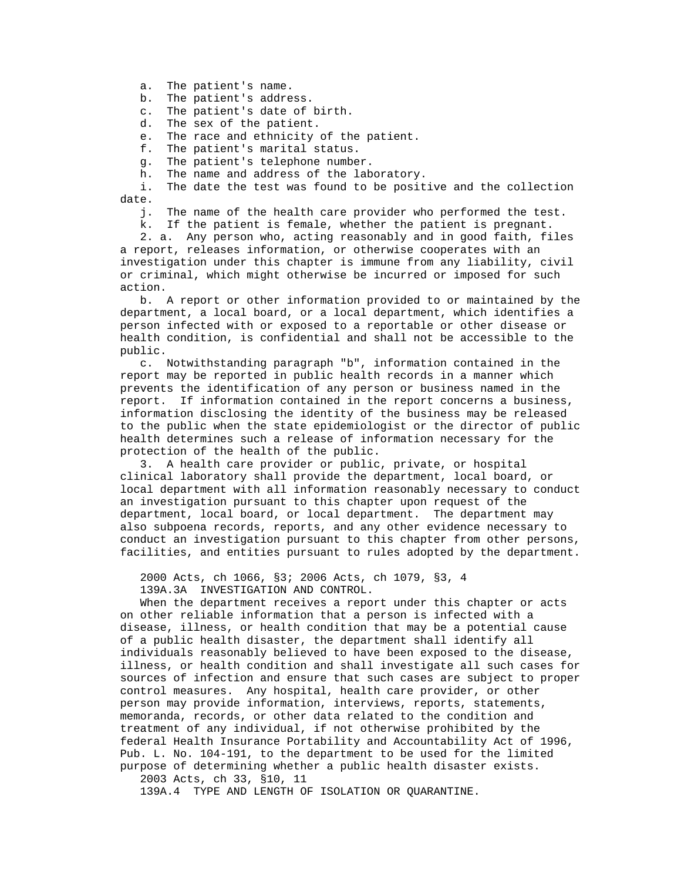a. The patient's name.

b. The patient's address.

c. The patient's date of birth.

d. The sex of the patient.

e. The race and ethnicity of the patient.

f. The patient's marital status.

g. The patient's telephone number.

h. The name and address of the laboratory.

 i. The date the test was found to be positive and the collection date.

j. The name of the health care provider who performed the test.

k. If the patient is female, whether the patient is pregnant.

 2. a. Any person who, acting reasonably and in good faith, files a report, releases information, or otherwise cooperates with an investigation under this chapter is immune from any liability, civil or criminal, which might otherwise be incurred or imposed for such action.

 b. A report or other information provided to or maintained by the department, a local board, or a local department, which identifies a person infected with or exposed to a reportable or other disease or health condition, is confidential and shall not be accessible to the public.

 c. Notwithstanding paragraph "b", information contained in the report may be reported in public health records in a manner which prevents the identification of any person or business named in the report. If information contained in the report concerns a business, information disclosing the identity of the business may be released to the public when the state epidemiologist or the director of public health determines such a release of information necessary for the protection of the health of the public.

 3. A health care provider or public, private, or hospital clinical laboratory shall provide the department, local board, or local department with all information reasonably necessary to conduct an investigation pursuant to this chapter upon request of the department, local board, or local department. The department may also subpoena records, reports, and any other evidence necessary to conduct an investigation pursuant to this chapter from other persons, facilities, and entities pursuant to rules adopted by the department.

2000 Acts, ch 1066, §3; 2006 Acts, ch 1079, §3, 4

139A.3A INVESTIGATION AND CONTROL.

 When the department receives a report under this chapter or acts on other reliable information that a person is infected with a disease, illness, or health condition that may be a potential cause of a public health disaster, the department shall identify all individuals reasonably believed to have been exposed to the disease, illness, or health condition and shall investigate all such cases for sources of infection and ensure that such cases are subject to proper control measures. Any hospital, health care provider, or other person may provide information, interviews, reports, statements, memoranda, records, or other data related to the condition and treatment of any individual, if not otherwise prohibited by the federal Health Insurance Portability and Accountability Act of 1996, Pub. L. No. 104-191, to the department to be used for the limited purpose of determining whether a public health disaster exists.

2003 Acts, ch 33, §10, 11

139A.4 TYPE AND LENGTH OF ISOLATION OR QUARANTINE.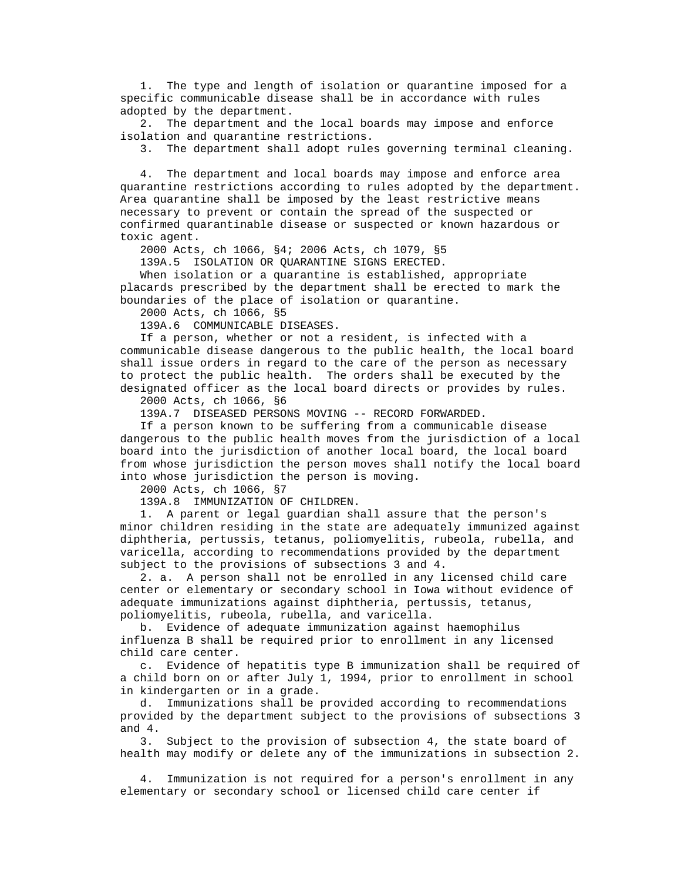1. The type and length of isolation or quarantine imposed for a specific communicable disease shall be in accordance with rules adopted by the department.

 2. The department and the local boards may impose and enforce isolation and quarantine restrictions.

3. The department shall adopt rules governing terminal cleaning.

 4. The department and local boards may impose and enforce area quarantine restrictions according to rules adopted by the department. Area quarantine shall be imposed by the least restrictive means necessary to prevent or contain the spread of the suspected or confirmed quarantinable disease or suspected or known hazardous or toxic agent.

2000 Acts, ch 1066, §4; 2006 Acts, ch 1079, §5

139A.5 ISOLATION OR QUARANTINE SIGNS ERECTED.

 When isolation or a quarantine is established, appropriate placards prescribed by the department shall be erected to mark the boundaries of the place of isolation or quarantine.

2000 Acts, ch 1066, §5

139A.6 COMMUNICABLE DISEASES.

 If a person, whether or not a resident, is infected with a communicable disease dangerous to the public health, the local board shall issue orders in regard to the care of the person as necessary to protect the public health. The orders shall be executed by the designated officer as the local board directs or provides by rules.

2000 Acts, ch 1066, §6

139A.7 DISEASED PERSONS MOVING -- RECORD FORWARDED.

 If a person known to be suffering from a communicable disease dangerous to the public health moves from the jurisdiction of a local board into the jurisdiction of another local board, the local board from whose jurisdiction the person moves shall notify the local board into whose jurisdiction the person is moving.

2000 Acts, ch 1066, §7

139A.8 IMMUNIZATION OF CHILDREN.

 1. A parent or legal guardian shall assure that the person's minor children residing in the state are adequately immunized against diphtheria, pertussis, tetanus, poliomyelitis, rubeola, rubella, and varicella, according to recommendations provided by the department subject to the provisions of subsections 3 and 4.

 2. a. A person shall not be enrolled in any licensed child care center or elementary or secondary school in Iowa without evidence of adequate immunizations against diphtheria, pertussis, tetanus, poliomyelitis, rubeola, rubella, and varicella.

 b. Evidence of adequate immunization against haemophilus influenza B shall be required prior to enrollment in any licensed child care center.

 c. Evidence of hepatitis type B immunization shall be required of a child born on or after July 1, 1994, prior to enrollment in school in kindergarten or in a grade.

 d. Immunizations shall be provided according to recommendations provided by the department subject to the provisions of subsections 3 and 4.

 3. Subject to the provision of subsection 4, the state board of health may modify or delete any of the immunizations in subsection 2.

 4. Immunization is not required for a person's enrollment in any elementary or secondary school or licensed child care center if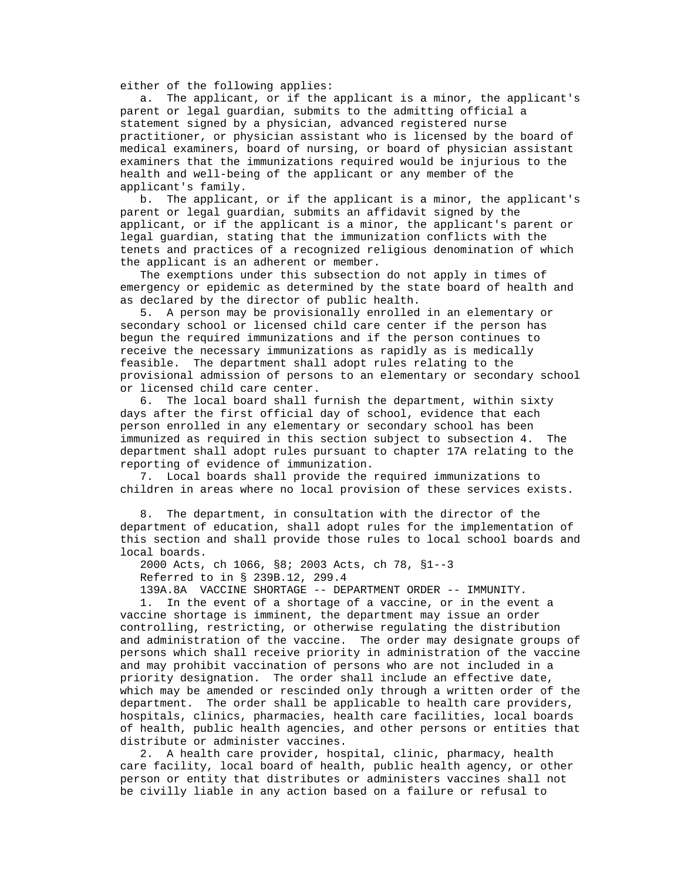either of the following applies:

 a. The applicant, or if the applicant is a minor, the applicant's parent or legal guardian, submits to the admitting official a statement signed by a physician, advanced registered nurse practitioner, or physician assistant who is licensed by the board of medical examiners, board of nursing, or board of physician assistant examiners that the immunizations required would be injurious to the health and well-being of the applicant or any member of the applicant's family.

 b. The applicant, or if the applicant is a minor, the applicant's parent or legal guardian, submits an affidavit signed by the applicant, or if the applicant is a minor, the applicant's parent or legal guardian, stating that the immunization conflicts with the tenets and practices of a recognized religious denomination of which the applicant is an adherent or member.

 The exemptions under this subsection do not apply in times of emergency or epidemic as determined by the state board of health and as declared by the director of public health.

 5. A person may be provisionally enrolled in an elementary or secondary school or licensed child care center if the person has begun the required immunizations and if the person continues to receive the necessary immunizations as rapidly as is medically feasible. The department shall adopt rules relating to the provisional admission of persons to an elementary or secondary school or licensed child care center.

 6. The local board shall furnish the department, within sixty days after the first official day of school, evidence that each person enrolled in any elementary or secondary school has been immunized as required in this section subject to subsection 4. The department shall adopt rules pursuant to chapter 17A relating to the reporting of evidence of immunization.

 7. Local boards shall provide the required immunizations to children in areas where no local provision of these services exists.

 8. The department, in consultation with the director of the department of education, shall adopt rules for the implementation of this section and shall provide those rules to local school boards and local boards.

2000 Acts, ch 1066, §8; 2003 Acts, ch 78, §1--3

Referred to in § 239B.12, 299.4

139A.8A VACCINE SHORTAGE -- DEPARTMENT ORDER -- IMMUNITY.

 1. In the event of a shortage of a vaccine, or in the event a vaccine shortage is imminent, the department may issue an order controlling, restricting, or otherwise regulating the distribution and administration of the vaccine. The order may designate groups of persons which shall receive priority in administration of the vaccine and may prohibit vaccination of persons who are not included in a priority designation. The order shall include an effective date, which may be amended or rescinded only through a written order of the department. The order shall be applicable to health care providers, hospitals, clinics, pharmacies, health care facilities, local boards of health, public health agencies, and other persons or entities that distribute or administer vaccines.

 2. A health care provider, hospital, clinic, pharmacy, health care facility, local board of health, public health agency, or other person or entity that distributes or administers vaccines shall not be civilly liable in any action based on a failure or refusal to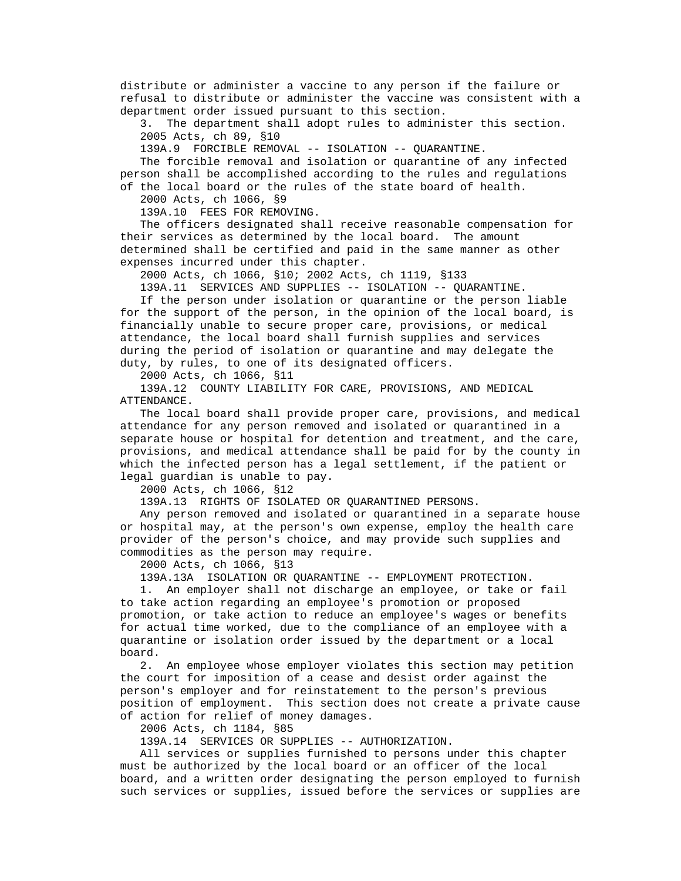distribute or administer a vaccine to any person if the failure or refusal to distribute or administer the vaccine was consistent with a department order issued pursuant to this section.

 3. The department shall adopt rules to administer this section. 2005 Acts, ch 89, §10

139A.9 FORCIBLE REMOVAL -- ISOLATION -- QUARANTINE.

 The forcible removal and isolation or quarantine of any infected person shall be accomplished according to the rules and regulations of the local board or the rules of the state board of health.

2000 Acts, ch 1066, §9

139A.10 FEES FOR REMOVING.

 The officers designated shall receive reasonable compensation for their services as determined by the local board. The amount determined shall be certified and paid in the same manner as other expenses incurred under this chapter.

2000 Acts, ch 1066, §10; 2002 Acts, ch 1119, §133

139A.11 SERVICES AND SUPPLIES -- ISOLATION -- QUARANTINE.

 If the person under isolation or quarantine or the person liable for the support of the person, in the opinion of the local board, is financially unable to secure proper care, provisions, or medical attendance, the local board shall furnish supplies and services during the period of isolation or quarantine and may delegate the duty, by rules, to one of its designated officers.

2000 Acts, ch 1066, §11

 139A.12 COUNTY LIABILITY FOR CARE, PROVISIONS, AND MEDICAL ATTENDANCE.

 The local board shall provide proper care, provisions, and medical attendance for any person removed and isolated or quarantined in a separate house or hospital for detention and treatment, and the care, provisions, and medical attendance shall be paid for by the county in which the infected person has a legal settlement, if the patient or legal guardian is unable to pay.

2000 Acts, ch 1066, §12

139A.13 RIGHTS OF ISOLATED OR QUARANTINED PERSONS.

 Any person removed and isolated or quarantined in a separate house or hospital may, at the person's own expense, employ the health care provider of the person's choice, and may provide such supplies and commodities as the person may require.

2000 Acts, ch 1066, §13

139A.13A ISOLATION OR QUARANTINE -- EMPLOYMENT PROTECTION.

 1. An employer shall not discharge an employee, or take or fail to take action regarding an employee's promotion or proposed promotion, or take action to reduce an employee's wages or benefits for actual time worked, due to the compliance of an employee with a quarantine or isolation order issued by the department or a local board.

 2. An employee whose employer violates this section may petition the court for imposition of a cease and desist order against the person's employer and for reinstatement to the person's previous position of employment. This section does not create a private cause of action for relief of money damages.

2006 Acts, ch 1184, §85

139A.14 SERVICES OR SUPPLIES -- AUTHORIZATION.

 All services or supplies furnished to persons under this chapter must be authorized by the local board or an officer of the local board, and a written order designating the person employed to furnish such services or supplies, issued before the services or supplies are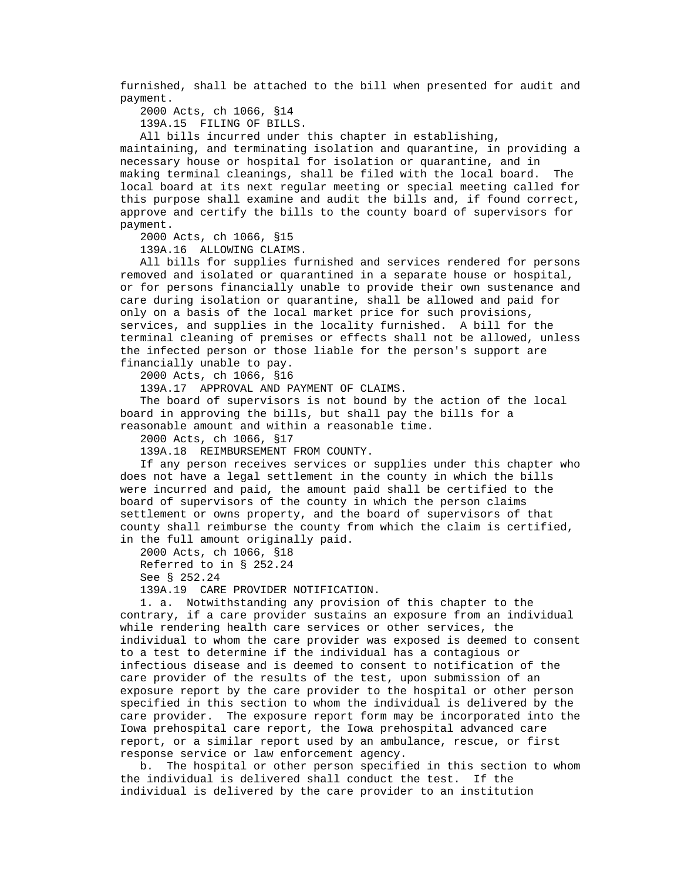furnished, shall be attached to the bill when presented for audit and payment.

2000 Acts, ch 1066, §14

139A.15 FILING OF BILLS.

All bills incurred under this chapter in establishing,

 maintaining, and terminating isolation and quarantine, in providing a necessary house or hospital for isolation or quarantine, and in making terminal cleanings, shall be filed with the local board. The local board at its next regular meeting or special meeting called for this purpose shall examine and audit the bills and, if found correct, approve and certify the bills to the county board of supervisors for payment.

2000 Acts, ch 1066, §15

139A.16 ALLOWING CLAIMS.

 All bills for supplies furnished and services rendered for persons removed and isolated or quarantined in a separate house or hospital, or for persons financially unable to provide their own sustenance and care during isolation or quarantine, shall be allowed and paid for only on a basis of the local market price for such provisions, services, and supplies in the locality furnished. A bill for the terminal cleaning of premises or effects shall not be allowed, unless the infected person or those liable for the person's support are financially unable to pay.

2000 Acts, ch 1066, §16

139A.17 APPROVAL AND PAYMENT OF CLAIMS.

 The board of supervisors is not bound by the action of the local board in approving the bills, but shall pay the bills for a reasonable amount and within a reasonable time.

2000 Acts, ch 1066, §17

139A.18 REIMBURSEMENT FROM COUNTY.

 If any person receives services or supplies under this chapter who does not have a legal settlement in the county in which the bills were incurred and paid, the amount paid shall be certified to the board of supervisors of the county in which the person claims settlement or owns property, and the board of supervisors of that county shall reimburse the county from which the claim is certified, in the full amount originally paid.

 2000 Acts, ch 1066, §18 Referred to in § 252.24 See § 252.24

139A.19 CARE PROVIDER NOTIFICATION.

 1. a. Notwithstanding any provision of this chapter to the contrary, if a care provider sustains an exposure from an individual while rendering health care services or other services, the individual to whom the care provider was exposed is deemed to consent to a test to determine if the individual has a contagious or infectious disease and is deemed to consent to notification of the care provider of the results of the test, upon submission of an exposure report by the care provider to the hospital or other person specified in this section to whom the individual is delivered by the care provider. The exposure report form may be incorporated into the Iowa prehospital care report, the Iowa prehospital advanced care report, or a similar report used by an ambulance, rescue, or first response service or law enforcement agency.

 b. The hospital or other person specified in this section to whom the individual is delivered shall conduct the test. If the individual is delivered by the care provider to an institution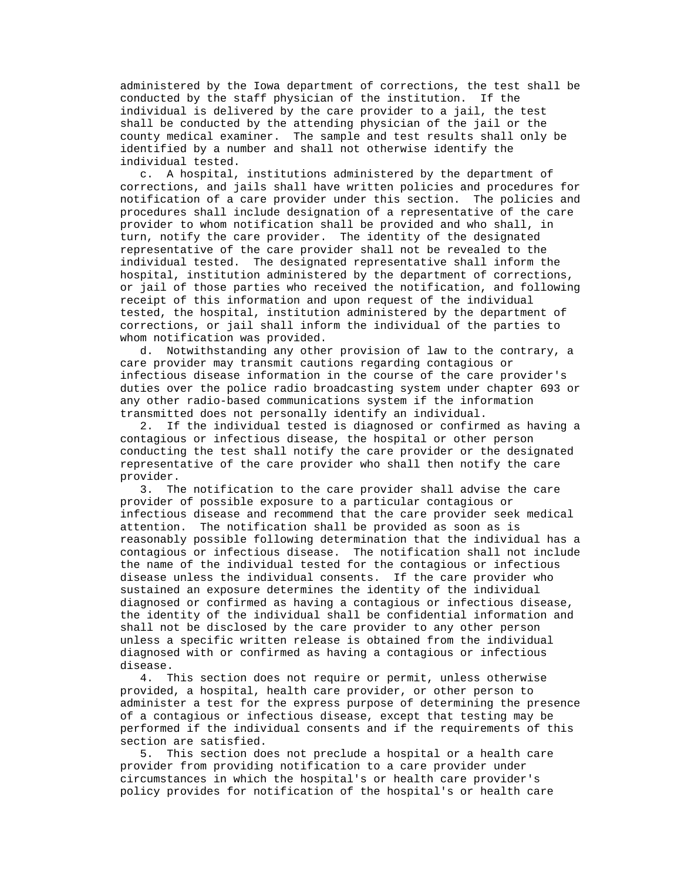administered by the Iowa department of corrections, the test shall be conducted by the staff physician of the institution. If the individual is delivered by the care provider to a jail, the test shall be conducted by the attending physician of the jail or the county medical examiner. The sample and test results shall only be identified by a number and shall not otherwise identify the individual tested.

 c. A hospital, institutions administered by the department of corrections, and jails shall have written policies and procedures for notification of a care provider under this section. The policies and procedures shall include designation of a representative of the care provider to whom notification shall be provided and who shall, in turn, notify the care provider. The identity of the designated representative of the care provider shall not be revealed to the individual tested. The designated representative shall inform the hospital, institution administered by the department of corrections, or jail of those parties who received the notification, and following receipt of this information and upon request of the individual tested, the hospital, institution administered by the department of corrections, or jail shall inform the individual of the parties to whom notification was provided.

 d. Notwithstanding any other provision of law to the contrary, a care provider may transmit cautions regarding contagious or infectious disease information in the course of the care provider's duties over the police radio broadcasting system under chapter 693 or any other radio-based communications system if the information transmitted does not personally identify an individual.

 2. If the individual tested is diagnosed or confirmed as having a contagious or infectious disease, the hospital or other person conducting the test shall notify the care provider or the designated representative of the care provider who shall then notify the care provider.

 3. The notification to the care provider shall advise the care provider of possible exposure to a particular contagious or infectious disease and recommend that the care provider seek medical attention. The notification shall be provided as soon as is reasonably possible following determination that the individual has a contagious or infectious disease. The notification shall not include the name of the individual tested for the contagious or infectious disease unless the individual consents. If the care provider who sustained an exposure determines the identity of the individual diagnosed or confirmed as having a contagious or infectious disease, the identity of the individual shall be confidential information and shall not be disclosed by the care provider to any other person unless a specific written release is obtained from the individual diagnosed with or confirmed as having a contagious or infectious disease.

 4. This section does not require or permit, unless otherwise provided, a hospital, health care provider, or other person to administer a test for the express purpose of determining the presence of a contagious or infectious disease, except that testing may be performed if the individual consents and if the requirements of this section are satisfied.

 5. This section does not preclude a hospital or a health care provider from providing notification to a care provider under circumstances in which the hospital's or health care provider's policy provides for notification of the hospital's or health care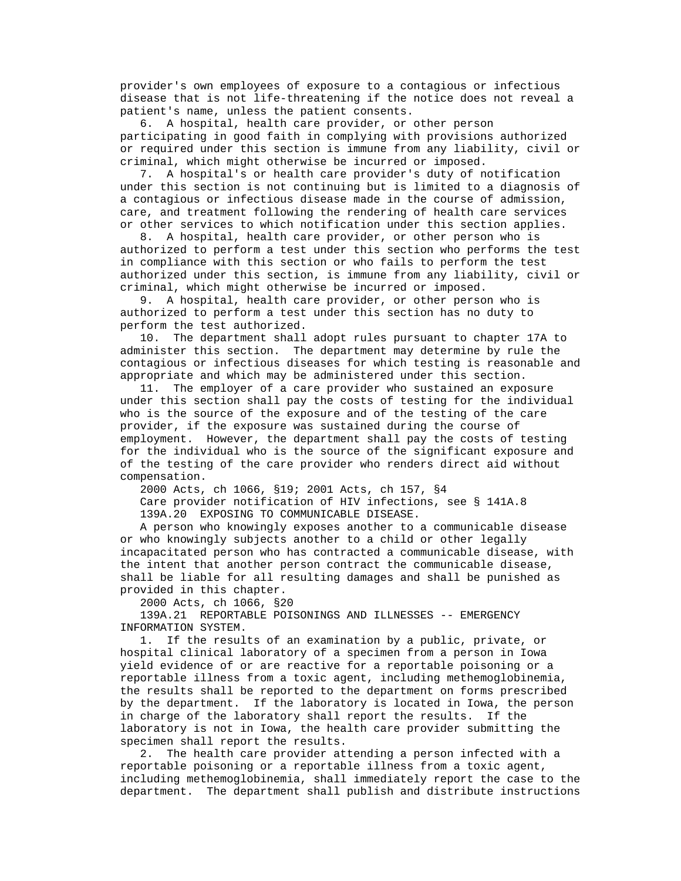provider's own employees of exposure to a contagious or infectious disease that is not life-threatening if the notice does not reveal a patient's name, unless the patient consents.

 6. A hospital, health care provider, or other person participating in good faith in complying with provisions authorized or required under this section is immune from any liability, civil or criminal, which might otherwise be incurred or imposed.

 7. A hospital's or health care provider's duty of notification under this section is not continuing but is limited to a diagnosis of a contagious or infectious disease made in the course of admission, care, and treatment following the rendering of health care services or other services to which notification under this section applies.

 8. A hospital, health care provider, or other person who is authorized to perform a test under this section who performs the test in compliance with this section or who fails to perform the test authorized under this section, is immune from any liability, civil or criminal, which might otherwise be incurred or imposed.

 9. A hospital, health care provider, or other person who is authorized to perform a test under this section has no duty to perform the test authorized.

 10. The department shall adopt rules pursuant to chapter 17A to administer this section. The department may determine by rule the contagious or infectious diseases for which testing is reasonable and appropriate and which may be administered under this section.

 11. The employer of a care provider who sustained an exposure under this section shall pay the costs of testing for the individual who is the source of the exposure and of the testing of the care provider, if the exposure was sustained during the course of employment. However, the department shall pay the costs of testing for the individual who is the source of the significant exposure and of the testing of the care provider who renders direct aid without compensation.

2000 Acts, ch 1066, §19; 2001 Acts, ch 157, §4

 Care provider notification of HIV infections, see § 141A.8 139A.20 EXPOSING TO COMMUNICABLE DISEASE.

 A person who knowingly exposes another to a communicable disease or who knowingly subjects another to a child or other legally incapacitated person who has contracted a communicable disease, with the intent that another person contract the communicable disease, shall be liable for all resulting damages and shall be punished as provided in this chapter.

2000 Acts, ch 1066, §20

 139A.21 REPORTABLE POISONINGS AND ILLNESSES -- EMERGENCY INFORMATION SYSTEM.

 1. If the results of an examination by a public, private, or hospital clinical laboratory of a specimen from a person in Iowa yield evidence of or are reactive for a reportable poisoning or a reportable illness from a toxic agent, including methemoglobinemia, the results shall be reported to the department on forms prescribed by the department. If the laboratory is located in Iowa, the person in charge of the laboratory shall report the results. If the laboratory is not in Iowa, the health care provider submitting the specimen shall report the results.

 2. The health care provider attending a person infected with a reportable poisoning or a reportable illness from a toxic agent, including methemoglobinemia, shall immediately report the case to the department. The department shall publish and distribute instructions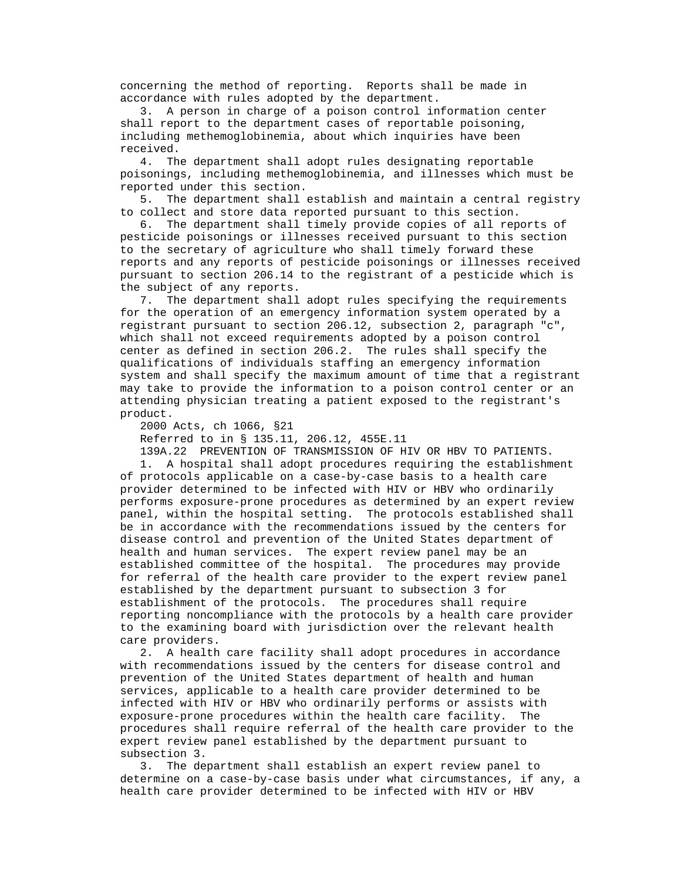concerning the method of reporting. Reports shall be made in accordance with rules adopted by the department.

 3. A person in charge of a poison control information center shall report to the department cases of reportable poisoning, including methemoglobinemia, about which inquiries have been received.

 4. The department shall adopt rules designating reportable poisonings, including methemoglobinemia, and illnesses which must be reported under this section.

 5. The department shall establish and maintain a central registry to collect and store data reported pursuant to this section.

 6. The department shall timely provide copies of all reports of pesticide poisonings or illnesses received pursuant to this section to the secretary of agriculture who shall timely forward these reports and any reports of pesticide poisonings or illnesses received pursuant to section 206.14 to the registrant of a pesticide which is the subject of any reports.

 7. The department shall adopt rules specifying the requirements for the operation of an emergency information system operated by a registrant pursuant to section 206.12, subsection 2, paragraph "c", which shall not exceed requirements adopted by a poison control center as defined in section 206.2. The rules shall specify the qualifications of individuals staffing an emergency information system and shall specify the maximum amount of time that a registrant may take to provide the information to a poison control center or an attending physician treating a patient exposed to the registrant's product.

2000 Acts, ch 1066, §21

Referred to in § 135.11, 206.12, 455E.11

139A.22 PREVENTION OF TRANSMISSION OF HIV OR HBV TO PATIENTS.

 1. A hospital shall adopt procedures requiring the establishment of protocols applicable on a case-by-case basis to a health care provider determined to be infected with HIV or HBV who ordinarily performs exposure-prone procedures as determined by an expert review panel, within the hospital setting. The protocols established shall be in accordance with the recommendations issued by the centers for disease control and prevention of the United States department of health and human services. The expert review panel may be an established committee of the hospital. The procedures may provide for referral of the health care provider to the expert review panel established by the department pursuant to subsection 3 for establishment of the protocols. The procedures shall require reporting noncompliance with the protocols by a health care provider to the examining board with jurisdiction over the relevant health care providers.

 2. A health care facility shall adopt procedures in accordance with recommendations issued by the centers for disease control and prevention of the United States department of health and human services, applicable to a health care provider determined to be infected with HIV or HBV who ordinarily performs or assists with exposure-prone procedures within the health care facility. The procedures shall require referral of the health care provider to the expert review panel established by the department pursuant to subsection 3.

 3. The department shall establish an expert review panel to determine on a case-by-case basis under what circumstances, if any, a health care provider determined to be infected with HIV or HBV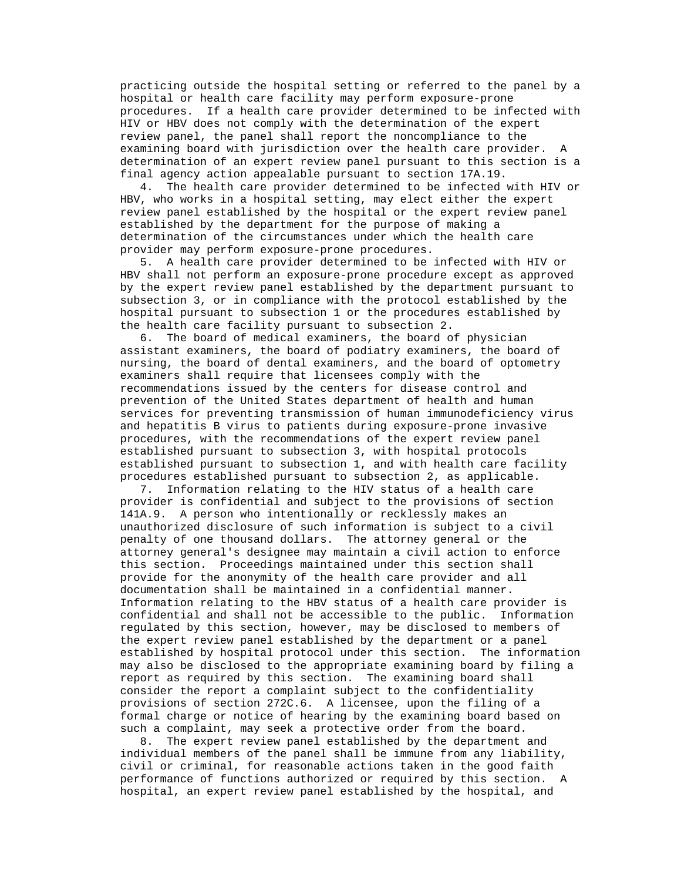practicing outside the hospital setting or referred to the panel by a hospital or health care facility may perform exposure-prone procedures. If a health care provider determined to be infected with HIV or HBV does not comply with the determination of the expert review panel, the panel shall report the noncompliance to the examining board with jurisdiction over the health care provider. A determination of an expert review panel pursuant to this section is a final agency action appealable pursuant to section 17A.19.

 4. The health care provider determined to be infected with HIV or HBV, who works in a hospital setting, may elect either the expert review panel established by the hospital or the expert review panel established by the department for the purpose of making a determination of the circumstances under which the health care provider may perform exposure-prone procedures.

 5. A health care provider determined to be infected with HIV or HBV shall not perform an exposure-prone procedure except as approved by the expert review panel established by the department pursuant to subsection 3, or in compliance with the protocol established by the hospital pursuant to subsection 1 or the procedures established by the health care facility pursuant to subsection 2.

 6. The board of medical examiners, the board of physician assistant examiners, the board of podiatry examiners, the board of nursing, the board of dental examiners, and the board of optometry examiners shall require that licensees comply with the recommendations issued by the centers for disease control and prevention of the United States department of health and human services for preventing transmission of human immunodeficiency virus and hepatitis B virus to patients during exposure-prone invasive procedures, with the recommendations of the expert review panel established pursuant to subsection 3, with hospital protocols established pursuant to subsection 1, and with health care facility procedures established pursuant to subsection 2, as applicable.

 7. Information relating to the HIV status of a health care provider is confidential and subject to the provisions of section 141A.9. A person who intentionally or recklessly makes an unauthorized disclosure of such information is subject to a civil penalty of one thousand dollars. The attorney general or the attorney general's designee may maintain a civil action to enforce this section. Proceedings maintained under this section shall provide for the anonymity of the health care provider and all documentation shall be maintained in a confidential manner. Information relating to the HBV status of a health care provider is confidential and shall not be accessible to the public. Information regulated by this section, however, may be disclosed to members of the expert review panel established by the department or a panel established by hospital protocol under this section. The information may also be disclosed to the appropriate examining board by filing a report as required by this section. The examining board shall consider the report a complaint subject to the confidentiality provisions of section 272C.6. A licensee, upon the filing of a formal charge or notice of hearing by the examining board based on such a complaint, may seek a protective order from the board.

 8. The expert review panel established by the department and individual members of the panel shall be immune from any liability, civil or criminal, for reasonable actions taken in the good faith performance of functions authorized or required by this section. A hospital, an expert review panel established by the hospital, and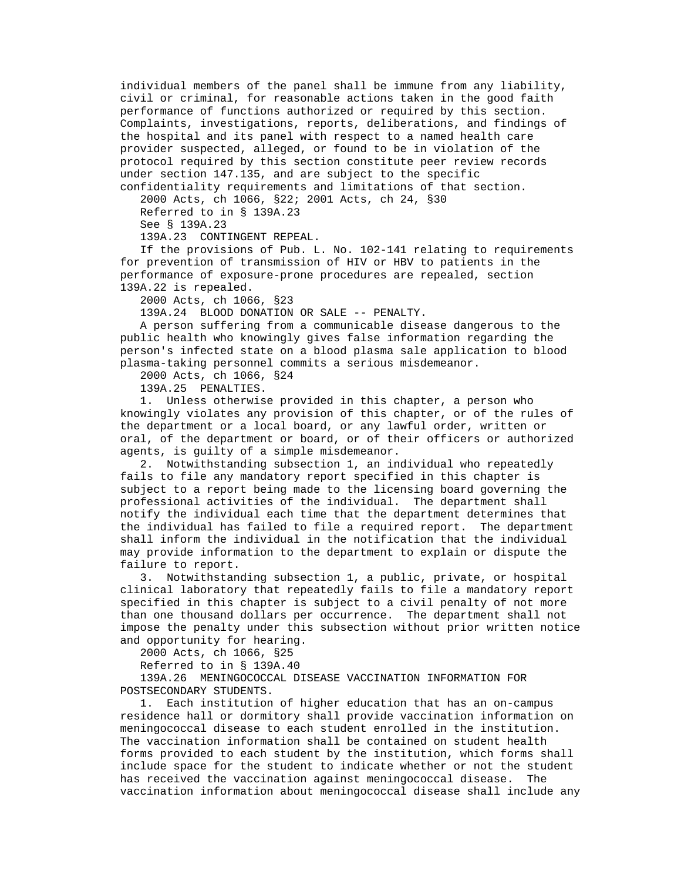individual members of the panel shall be immune from any liability, civil or criminal, for reasonable actions taken in the good faith performance of functions authorized or required by this section. Complaints, investigations, reports, deliberations, and findings of the hospital and its panel with respect to a named health care provider suspected, alleged, or found to be in violation of the protocol required by this section constitute peer review records under section 147.135, and are subject to the specific confidentiality requirements and limitations of that section.

 2000 Acts, ch 1066, §22; 2001 Acts, ch 24, §30 Referred to in § 139A.23 See § 139A.23

139A.23 CONTINGENT REPEAL.

 If the provisions of Pub. L. No. 102-141 relating to requirements for prevention of transmission of HIV or HBV to patients in the performance of exposure-prone procedures are repealed, section 139A.22 is repealed.

2000 Acts, ch 1066, §23

139A.24 BLOOD DONATION OR SALE -- PENALTY.

 A person suffering from a communicable disease dangerous to the public health who knowingly gives false information regarding the person's infected state on a blood plasma sale application to blood plasma-taking personnel commits a serious misdemeanor.

2000 Acts, ch 1066, §24

139A.25 PENALTIES.

 1. Unless otherwise provided in this chapter, a person who knowingly violates any provision of this chapter, or of the rules of the department or a local board, or any lawful order, written or oral, of the department or board, or of their officers or authorized agents, is guilty of a simple misdemeanor.

 2. Notwithstanding subsection 1, an individual who repeatedly fails to file any mandatory report specified in this chapter is subject to a report being made to the licensing board governing the professional activities of the individual. The department shall notify the individual each time that the department determines that the individual has failed to file a required report. The department shall inform the individual in the notification that the individual may provide information to the department to explain or dispute the failure to report.

 3. Notwithstanding subsection 1, a public, private, or hospital clinical laboratory that repeatedly fails to file a mandatory report specified in this chapter is subject to a civil penalty of not more than one thousand dollars per occurrence. The department shall not impose the penalty under this subsection without prior written notice and opportunity for hearing.

2000 Acts, ch 1066, §25

Referred to in § 139A.40

 139A.26 MENINGOCOCCAL DISEASE VACCINATION INFORMATION FOR POSTSECONDARY STUDENTS.

 1. Each institution of higher education that has an on-campus residence hall or dormitory shall provide vaccination information on meningococcal disease to each student enrolled in the institution. The vaccination information shall be contained on student health forms provided to each student by the institution, which forms shall include space for the student to indicate whether or not the student has received the vaccination against meningococcal disease. The vaccination information about meningococcal disease shall include any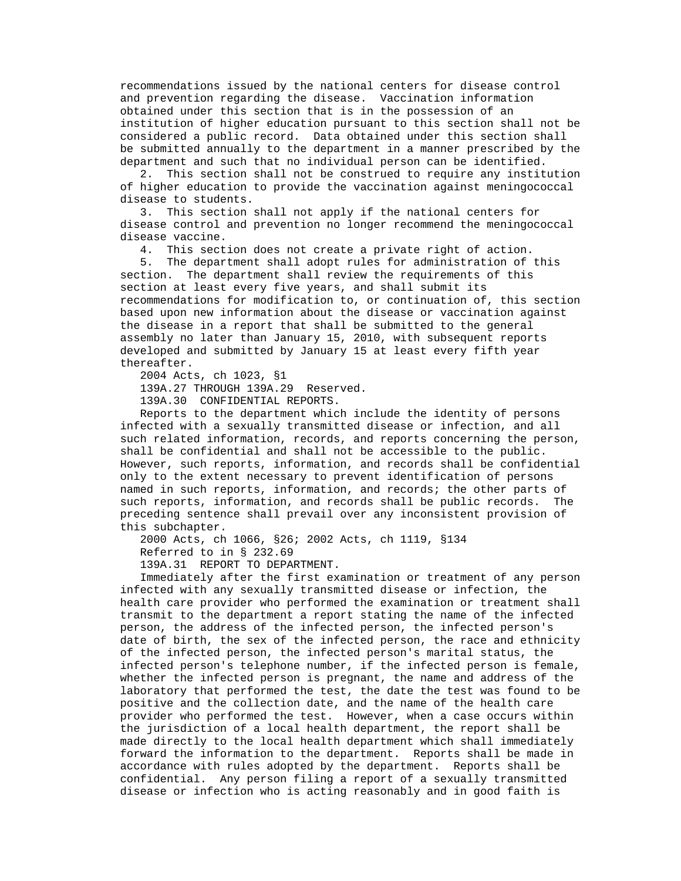recommendations issued by the national centers for disease control and prevention regarding the disease. Vaccination information obtained under this section that is in the possession of an institution of higher education pursuant to this section shall not be considered a public record. Data obtained under this section shall be submitted annually to the department in a manner prescribed by the department and such that no individual person can be identified.

 2. This section shall not be construed to require any institution of higher education to provide the vaccination against meningococcal disease to students.

 3. This section shall not apply if the national centers for disease control and prevention no longer recommend the meningococcal disease vaccine.

4. This section does not create a private right of action.

 5. The department shall adopt rules for administration of this section. The department shall review the requirements of this section at least every five years, and shall submit its recommendations for modification to, or continuation of, this section based upon new information about the disease or vaccination against the disease in a report that shall be submitted to the general assembly no later than January 15, 2010, with subsequent reports developed and submitted by January 15 at least every fifth year thereafter.

2004 Acts, ch 1023, §1

139A.27 THROUGH 139A.29 Reserved.

139A.30 CONFIDENTIAL REPORTS.

 Reports to the department which include the identity of persons infected with a sexually transmitted disease or infection, and all such related information, records, and reports concerning the person, shall be confidential and shall not be accessible to the public. However, such reports, information, and records shall be confidential only to the extent necessary to prevent identification of persons named in such reports, information, and records; the other parts of such reports, information, and records shall be public records. The preceding sentence shall prevail over any inconsistent provision of this subchapter.

2000 Acts, ch 1066, §26; 2002 Acts, ch 1119, §134

Referred to in § 232.69

139A.31 REPORT TO DEPARTMENT.

 Immediately after the first examination or treatment of any person infected with any sexually transmitted disease or infection, the health care provider who performed the examination or treatment shall transmit to the department a report stating the name of the infected person, the address of the infected person, the infected person's date of birth, the sex of the infected person, the race and ethnicity of the infected person, the infected person's marital status, the infected person's telephone number, if the infected person is female, whether the infected person is pregnant, the name and address of the laboratory that performed the test, the date the test was found to be positive and the collection date, and the name of the health care provider who performed the test. However, when a case occurs within the jurisdiction of a local health department, the report shall be made directly to the local health department which shall immediately forward the information to the department. Reports shall be made in accordance with rules adopted by the department. Reports shall be confidential. Any person filing a report of a sexually transmitted disease or infection who is acting reasonably and in good faith is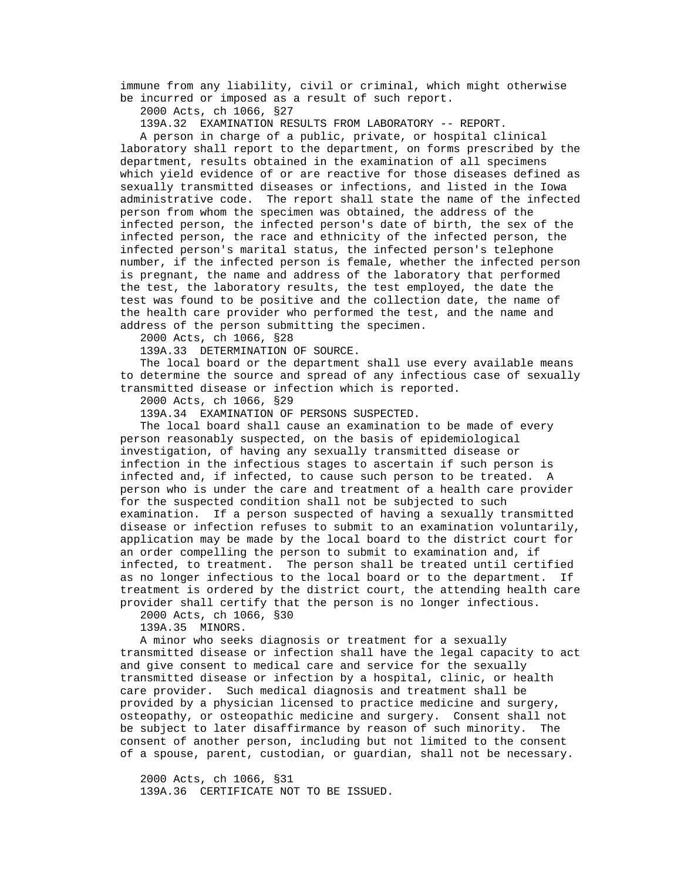immune from any liability, civil or criminal, which might otherwise be incurred or imposed as a result of such report.

2000 Acts, ch 1066, §27

139A.32 EXAMINATION RESULTS FROM LABORATORY -- REPORT.

 A person in charge of a public, private, or hospital clinical laboratory shall report to the department, on forms prescribed by the department, results obtained in the examination of all specimens which yield evidence of or are reactive for those diseases defined as sexually transmitted diseases or infections, and listed in the Iowa administrative code. The report shall state the name of the infected person from whom the specimen was obtained, the address of the infected person, the infected person's date of birth, the sex of the infected person, the race and ethnicity of the infected person, the infected person's marital status, the infected person's telephone number, if the infected person is female, whether the infected person is pregnant, the name and address of the laboratory that performed the test, the laboratory results, the test employed, the date the test was found to be positive and the collection date, the name of the health care provider who performed the test, and the name and address of the person submitting the specimen.

2000 Acts, ch 1066, §28

139A.33 DETERMINATION OF SOURCE.

 The local board or the department shall use every available means to determine the source and spread of any infectious case of sexually transmitted disease or infection which is reported.

2000 Acts, ch 1066, §29

139A.34 EXAMINATION OF PERSONS SUSPECTED.

 The local board shall cause an examination to be made of every person reasonably suspected, on the basis of epidemiological investigation, of having any sexually transmitted disease or infection in the infectious stages to ascertain if such person is infected and, if infected, to cause such person to be treated. A person who is under the care and treatment of a health care provider for the suspected condition shall not be subjected to such examination. If a person suspected of having a sexually transmitted disease or infection refuses to submit to an examination voluntarily, application may be made by the local board to the district court for an order compelling the person to submit to examination and, if infected, to treatment. The person shall be treated until certified as no longer infectious to the local board or to the department. If treatment is ordered by the district court, the attending health care provider shall certify that the person is no longer infectious.

2000 Acts, ch 1066, §30

139A.35 MINORS.

 A minor who seeks diagnosis or treatment for a sexually transmitted disease or infection shall have the legal capacity to act and give consent to medical care and service for the sexually transmitted disease or infection by a hospital, clinic, or health care provider. Such medical diagnosis and treatment shall be provided by a physician licensed to practice medicine and surgery, osteopathy, or osteopathic medicine and surgery. Consent shall not be subject to later disaffirmance by reason of such minority. The consent of another person, including but not limited to the consent of a spouse, parent, custodian, or guardian, shall not be necessary.

 2000 Acts, ch 1066, §31 139A.36 CERTIFICATE NOT TO BE ISSUED.